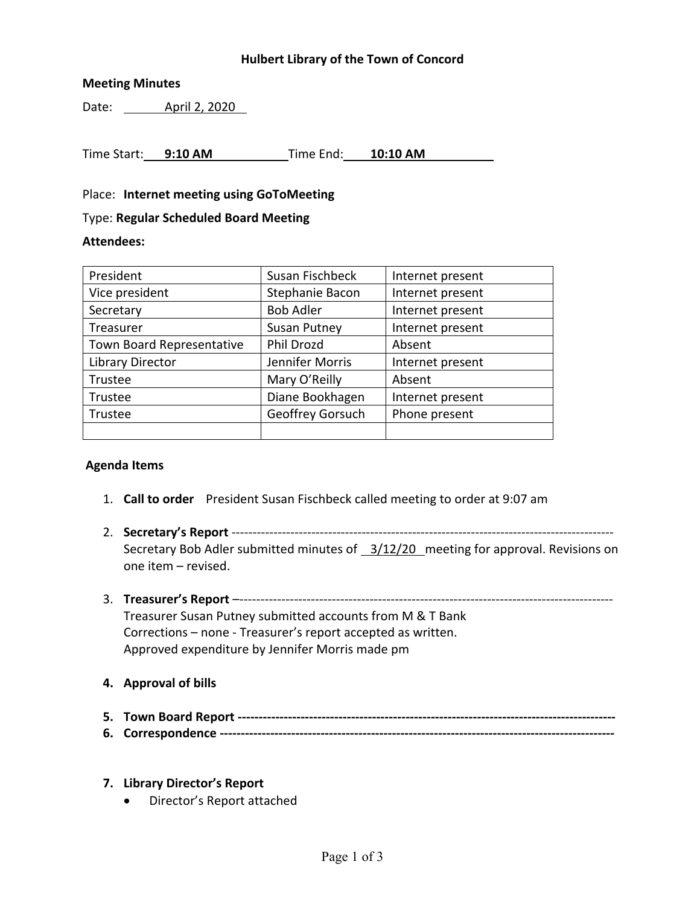## **Hulbert Library of the Town of Concord**

### **Meeting Minutes**

Date: **April 2, 2020** 

Time Start: **9:10 AM** Time End: **10:10 AM**

Place: **Internet meeting using GoToMeeting**

#### Type: **Regular Scheduled Board Meeting**

#### **Attendees:**

| President                 | Susan Fischbeck                     | Internet present |  |
|---------------------------|-------------------------------------|------------------|--|
| Vice president            | Stephanie Bacon<br>Internet present |                  |  |
| Secretary                 | <b>Bob Adler</b>                    | Internet present |  |
| Treasurer                 | <b>Susan Putney</b>                 | Internet present |  |
| Town Board Representative | Phil Drozd                          | Absent           |  |
| Library Director          | Jennifer Morris                     | Internet present |  |
| Trustee                   | Mary O'Reilly                       | Absent           |  |
| Trustee                   | Diane Bookhagen                     | Internet present |  |
| Trustee                   | Geoffrey Gorsuch                    | Phone present    |  |
|                           |                                     |                  |  |

## **Agenda Items**

- 1. **Call to order** President Susan Fischbeck called meeting to order at 9:07 am
- 2. **Secretary's Report** ------------------------------------------------------------------------------------------- Secretary Bob Adler submitted minutes of 3/12/20 meeting for approval. Revisions on one item – revised.
- 3. **Treasurer's Report** –----------------------------------------------------------------------------------------- Treasurer Susan Putney submitted accounts from M & T Bank Corrections – none - Treasurer's report accepted as written. Approved expenditure by Jennifer Morris made pm
- **4. Approval of bills**
- **5. Town Board Report ------------------------------------------------------------------------------------------**
- **6. Correspondence ----------------------------------------------------------------------------------------------**
- **7. Library Director's Report**
	- Director's Report attached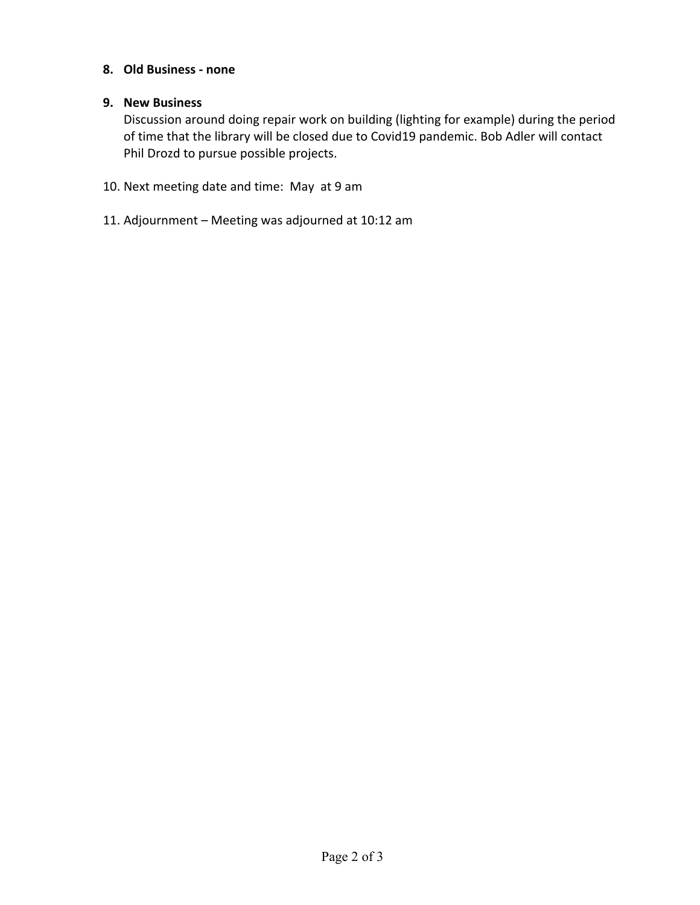# **8. Old Business - none**

# **9. New Business**

Discussion around doing repair work on building (lighting for example) during the period of time that the library will be closed due to Covid19 pandemic. Bob Adler will contact Phil Drozd to pursue possible projects.

- 10. Next meeting date and time: May at 9 am
- 11. Adjournment Meeting was adjourned at 10:12 am